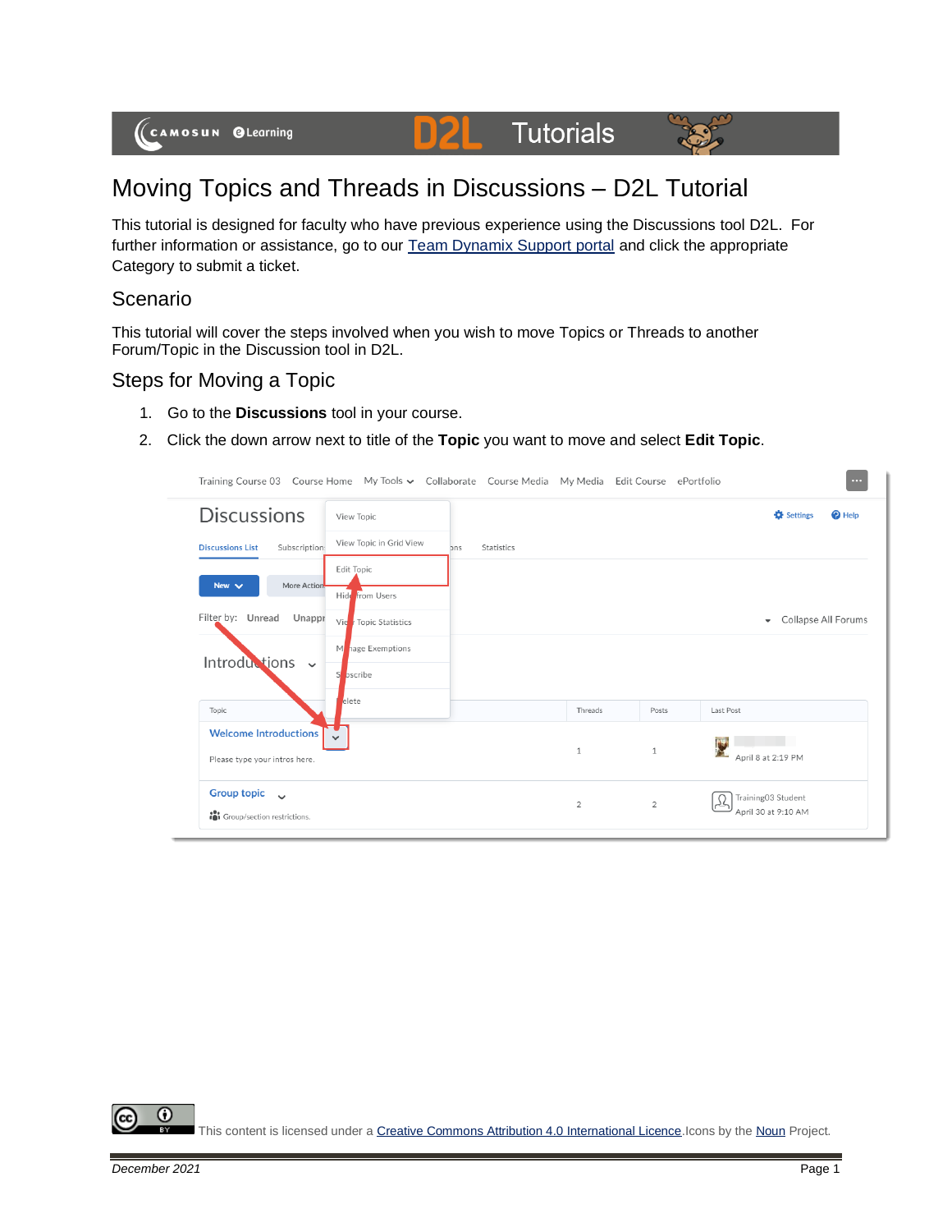#### **D2L Tutorials**



# Moving Topics and Threads in Discussions – D2L Tutorial

This tutorial is designed for faculty who have previous experience using the Discussions tool D2L. For further information or assistance, go to our [Team Dynamix Support portal](https://camosun.teamdynamix.com/TDClient/67/Portal/Requests/ServiceCatalog?CategoryID=523) and click the appropriate Category to submit a ticket.

#### Scenario

This tutorial will cover the steps involved when you wish to move Topics or Threads to another Forum/Topic in the Discussion tool in D2L.

#### Steps for Moving a Topic

- 1. Go to the **Discussions** tool in your course.
- 2. Click the down arrow next to title of the **Topic** you want to move and select **Edit Topic**.

| Training Course 03 Course Home My Tools v Collaborate Course Media My Media Edit Course ePortfolio |                                      |     |            |                |                | $\cdots$                                        |
|----------------------------------------------------------------------------------------------------|--------------------------------------|-----|------------|----------------|----------------|-------------------------------------------------|
| <b>Discussions</b>                                                                                 | View Topic                           |     |            |                |                | $\boldsymbol{Q}$ Help<br><b>C</b> Settings      |
| Subscription:<br><b>Discussions List</b>                                                           | View Topic in Grid View              | ons | Statistics |                |                |                                                 |
| More Action<br>New $\vee$                                                                          | <b>Edit Topic</b><br>Hide from Users |     |            |                |                |                                                 |
| Filter by: Unread<br>Unappr                                                                        | Vie / Topic Statistics               |     |            |                |                | Collapse All Forums<br>$\overline{\phantom{a}}$ |
| Introductions                                                                                      | hage Exemptions<br>M                 |     |            |                |                |                                                 |
| $\checkmark$                                                                                       | S<br>bscribe                         |     |            |                |                |                                                 |
| Topic                                                                                              | elete                                |     |            | Threads        | Posts          | Last Post                                       |
| <b>Welcome Introductions</b><br>Please type your intros here.                                      |                                      |     |            | $1\,$          | $\mathbf{1}$   | Y<br>April 8 at 2:19 PM                         |
| <b>Group topic</b><br>$\checkmark$<br>in Group/section restrictions.                               |                                      |     |            | $\overline{2}$ | $\overline{2}$ | Training03 Student<br>₽<br>April 30 at 9:10 AM  |

⋒ This content is licensed under [a Creative Commons Attribution 4.0 International Licence.I](https://creativecommons.org/licenses/by/4.0/)cons by th[e Noun](https://creativecommons.org/website-icons/) Project.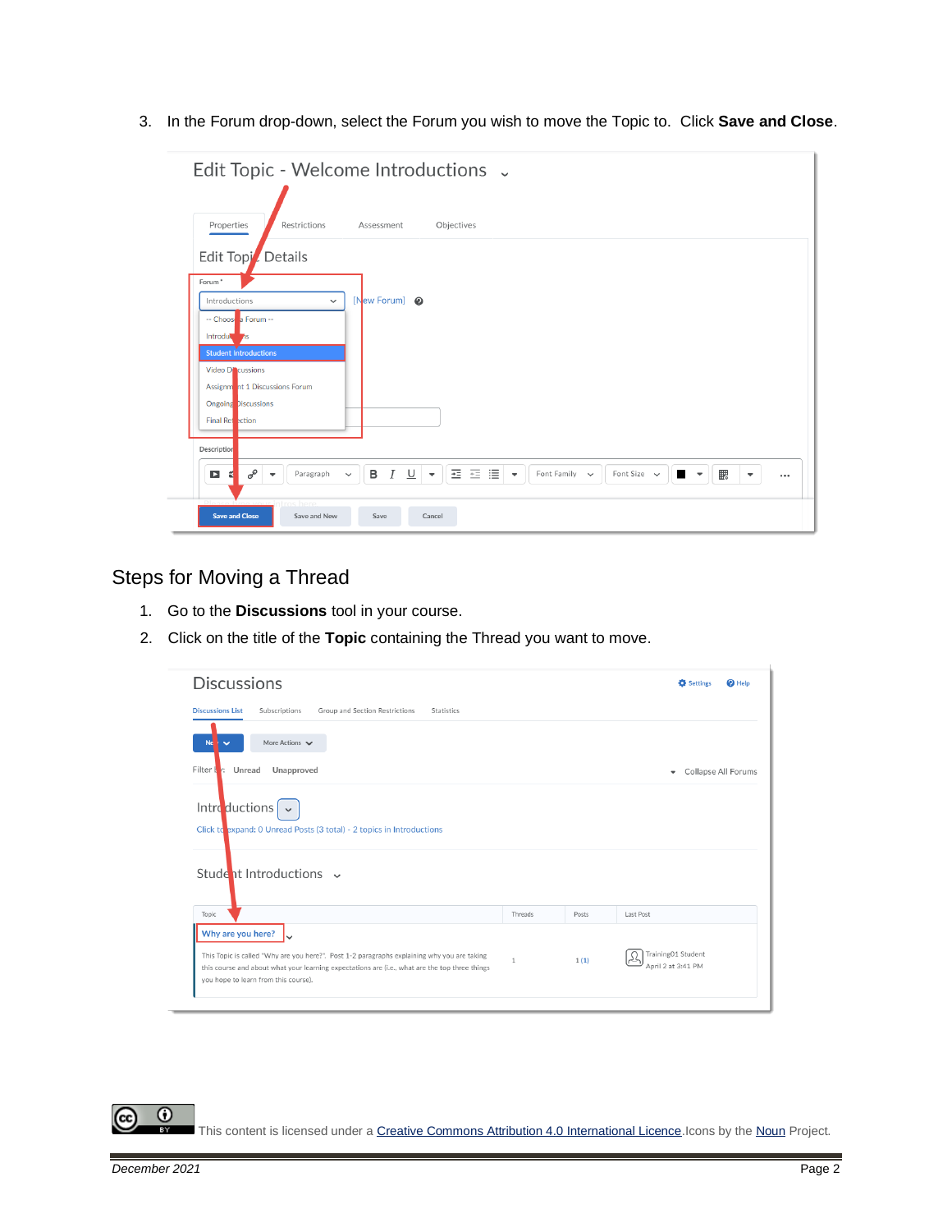3. In the Forum drop-down, select the Forum you wish to move the Topic to. Click **Save and Close**.

| Edit Topic - Welcome Introductions .<br>Properties<br>Restrictions<br>Assessment<br>Objectives                                                                                                                                                                                                                                                                                |
|-------------------------------------------------------------------------------------------------------------------------------------------------------------------------------------------------------------------------------------------------------------------------------------------------------------------------------------------------------------------------------|
| Edit Topi Details<br>Forum <sup>*</sup><br>[New Forum] @<br>Introductions<br>$\checkmark$<br>-- Choose a Forum --<br>Introduction                                                                                                                                                                                                                                             |
| <b>Student Introductions</b><br>Video Di cussions<br>Assignment 1 Discussions Forum<br>Ongoing Discussions<br><b>Final Ref</b> ection                                                                                                                                                                                                                                         |
| Description<br><u> / U</u>   ▼    亜 三   ≣  <br>$\sigma^{\!\mathcal{O}}$<br>B<br>騦<br>Font Family $\sim$<br>Font Size $\sim$<br>D<br>Paragraph<br>$\blacksquare$<br>$\overline{\phantom{a}}$<br>ť<br>$\checkmark$<br>$\blacktriangledown$<br>$\overline{\phantom{a}}$<br>$\overline{\phantom{a}}$<br><br>ntros here<br><b>Save and Close</b><br>Save and New<br>Save<br>Cancel |

## Steps for Moving a Thread

- 1. Go to the **Discussions** tool in your course.
- 2. Click on the title of the **Topic** containing the Thread you want to move.

| <b>Discussions</b>                                                                                                                                                                                                                                         |              |       | <b>D</b> Settings<br>$\boldsymbol{\Theta}$ Help |
|------------------------------------------------------------------------------------------------------------------------------------------------------------------------------------------------------------------------------------------------------------|--------------|-------|-------------------------------------------------|
| <b>Discussions List</b><br>Group and Section Restrictions<br>Subscriptions<br>Statistics                                                                                                                                                                   |              |       |                                                 |
| More Actions $\vee$<br><b>Ne</b><br>$\checkmark$                                                                                                                                                                                                           |              |       |                                                 |
| Filter I<br>Unread<br>Unapproved<br>V:                                                                                                                                                                                                                     |              |       | Collapse All Forums<br>٠                        |
| Introductions<br>$\checkmark$<br>Click to expand: 0 Unread Posts (3 total) - 2 topics in Introductions                                                                                                                                                     |              |       |                                                 |
| Student Introductions v                                                                                                                                                                                                                                    |              |       |                                                 |
| Topic                                                                                                                                                                                                                                                      | Threads      | Posts | Last Post                                       |
| Why are you here?<br>This Topic is called "Why are you here?". Post 1-2 paragraphs explaining why you are taking<br>this course and about what your learning expectations are (i.e., what are the top three things<br>you hope to learn from this course). | $\mathbf{1}$ | 1(1)  | Training01 Student<br>Ω<br>April 2 at 3:41 PM   |

This content is licensed under [a Creative Commons Attribution 4.0 International Licence.I](https://creativecommons.org/licenses/by/4.0/)cons by th[e Noun](https://creativecommons.org/website-icons/) Project.

 $\odot$